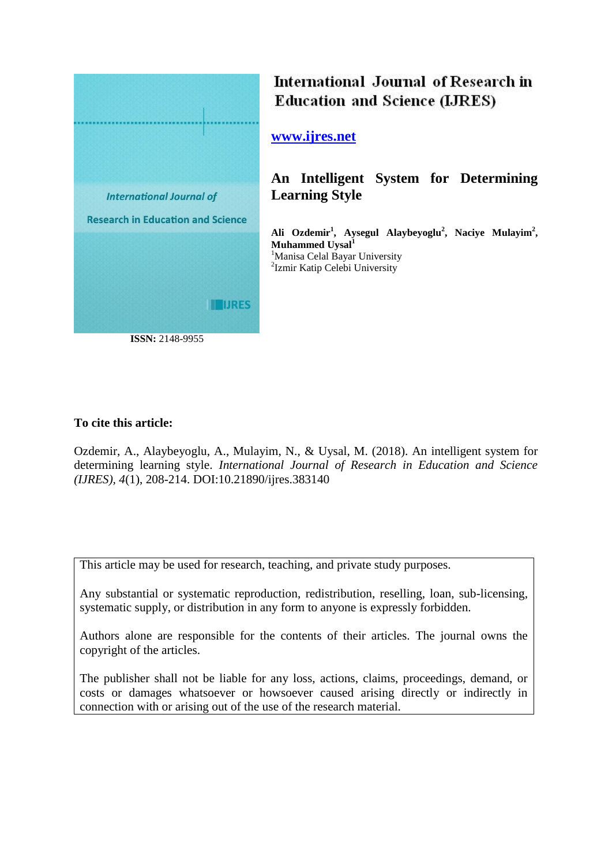

# International Journal of Research in **Education and Science (LJRES)**

## **[www.ijres.net](http://www.ijres.net/)**

**An Intelligent System for Determining Learning Style** 

**Ali Ozdemir<sup>1</sup> , Aysegul Alaybeyoglu<sup>2</sup> , Naciye Mulayim<sup>2</sup> , Muhammed Uysal<sup>1</sup>** <sup>1</sup>Manisa Celal Bayar University <sup>2</sup>Izmir Katip Celebi University

## **To cite this article:**

Ozdemir, A., Alaybeyoglu, A., Mulayim, N., & Uysal, M. (2018). An intelligent system for determining learning style. *International Journal of Research in Education and Science (IJRES), 4*(1), 208-214. DOI:10.21890/ijres.383140

This article may be used for research, teaching, and private study purposes.

Any substantial or systematic reproduction, redistribution, reselling, loan, sub-licensing, systematic supply, or distribution in any form to anyone is expressly forbidden.

Authors alone are responsible for the contents of their articles. The journal owns the copyright of the articles.

The publisher shall not be liable for any loss, actions, claims, proceedings, demand, or costs or damages whatsoever or howsoever caused arising directly or indirectly in connection with or arising out of the use of the research material.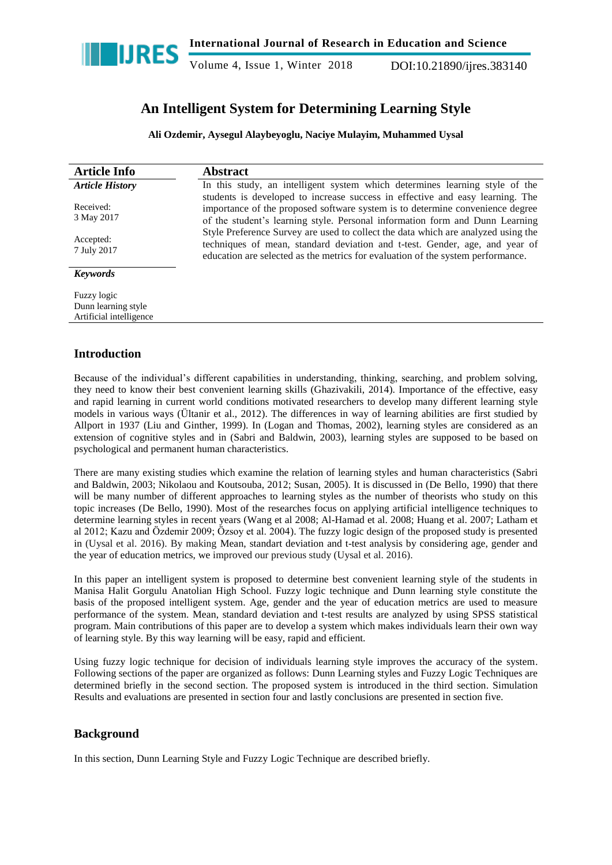

## **An Intelligent System for Determining Learning Style**

**Ali Ozdemir, Aysegul Alaybeyoglu, Naciye Mulayim, Muhammed Uysal**

| <b>Article Info</b>                                           | <b>Abstract</b>                                                                                                                                                                                                                                     |
|---------------------------------------------------------------|-----------------------------------------------------------------------------------------------------------------------------------------------------------------------------------------------------------------------------------------------------|
| <b>Article History</b>                                        | In this study, an intelligent system which determines learning style of the                                                                                                                                                                         |
| Received:<br>3 May 2017                                       | students is developed to increase success in effective and easy learning. The<br>importance of the proposed software system is to determine convenience degree<br>of the student's learning style. Personal information form and Dunn Learning      |
| Accepted:<br>7 July 2017                                      | Style Preference Survey are used to collect the data which are analyzed using the<br>techniques of mean, standard deviation and t-test. Gender, age, and year of<br>education are selected as the metrics for evaluation of the system performance. |
| <b>Keywords</b>                                               |                                                                                                                                                                                                                                                     |
| Fuzzy logic<br>Dunn learning style<br>Artificial intelligence |                                                                                                                                                                                                                                                     |
|                                                               |                                                                                                                                                                                                                                                     |

## **Introduction**

Because of the individual"s different capabilities in understanding, thinking, searching, and problem solving, they need to know their best convenient learning skills (Ghazivakili, 2014). Importance of the effective, easy and rapid learning in current world conditions motivated researchers to develop many different learning style models in various ways (Ültanir et al., 2012). The differences in way of learning abilities are first studied by Allport in 1937 (Liu and Ginther, 1999). In (Logan and Thomas, 2002), learning styles are considered as an extension of cognitive styles and in (Sabri and Baldwin, 2003), learning styles are supposed to be based on psychological and permanent human characteristics.

There are many existing studies which examine the relation of learning styles and human characteristics (Sabri and Baldwin, 2003; Nikolaou and Koutsouba, 2012; Susan, 2005). It is discussed in (De Bello, 1990) that there will be many number of different approaches to learning styles as the number of theorists who study on this topic increases (De Bello, 1990). Most of the researches focus on applying artificial intelligence techniques to determine learning styles in recent years (Wang et al 2008; Al-Hamad et al. 2008; Huang et al. 2007; Latham et al 2012; Kazu and Özdemir 2009; Özsoy et al. 2004). The fuzzy logic design of the proposed study is presented in (Uysal et al. 2016). By making Mean, standart deviation and t-test analysis by considering age, gender and the year of education metrics, we improved our previous study (Uysal et al. 2016).

In this paper an intelligent system is proposed to determine best convenient learning style of the students in Manisa Halit Gorgulu Anatolian High School. Fuzzy logic technique and Dunn learning style constitute the basis of the proposed intelligent system. Age, gender and the year of education metrics are used to measure performance of the system. Mean, standard deviation and t-test results are analyzed by using SPSS [statistical](https://www.seslisozluk.net/statistical-nedir-ne-demek/) program. Main contributions of this paper are to develop a system which makes individuals learn their own way of learning style. By this way learning will be easy, rapid and efficient.

Using fuzzy logic technique for decision of individuals learning style improves the accuracy of the system. Following sections of the paper are organized as follows: Dunn Learning styles and Fuzzy Logic Techniques are determined briefly in the second section. The proposed system is introduced in the third section. Simulation Results and evaluations are presented in section four and lastly conclusions are presented in section five.

## **Background**

In this section, Dunn Learning Style and Fuzzy Logic Technique are described briefly.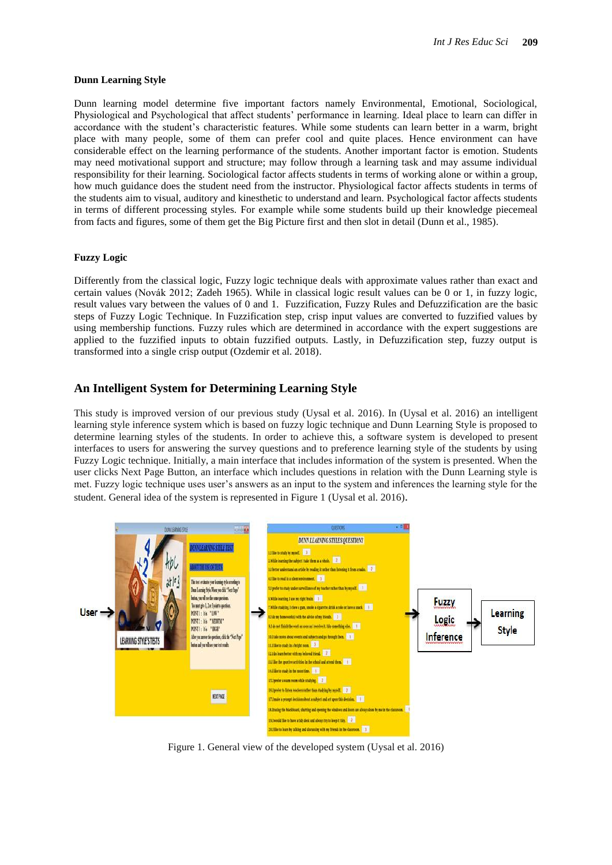#### **Dunn Learning Style**

Dunn learning model determine five important factors namely Environmental, Emotional, Sociological, Physiological and Psychological that affect students" performance in learning. Ideal place to learn can differ in accordance with the student"s characteristic features. While some students can learn better in a warm, bright place with many people, some of them can prefer cool and quite places. Hence environment can have considerable effect on the learning performance of the students. Another important factor is emotion. Students may need motivational support and structure; may follow through a learning task and may assume individual responsibility for their learning. Sociological factor affects students in terms of working alone or within a group, how much guidance does the student need from the instructor. Physiological factor affects students in terms of the students aim to visual, auditory and kinesthetic to understand and learn. Psychological factor affects students in terms of different processing styles. For example while some students build up their knowledge piecemeal from facts and figures, some of them get the Big Picture first and then slot in detail (Dunn et al., 1985).

#### **Fuzzy Logic**

Differently from the classical logic, Fuzzy logic technique deals with approximate values rather than exact and certain values (Novák 2012; Zadeh 1965). While in classical logic result values can be 0 or 1, in fuzzy logic, result values vary between the values of 0 and 1. Fuzzification, Fuzzy Rules and Defuzzification are the basic steps of Fuzzy Logic Technique. In Fuzzification step, crisp input values are converted to fuzzified values by using membership functions. Fuzzy rules which are determined in accordance with the expert suggestions are applied to the fuzzified inputs to obtain fuzzified outputs. Lastly, in Defuzzification step, fuzzy output is transformed into a single crisp output (Ozdemir et al. 2018).

## **An Intelligent System for Determining Learning Style**

This study is improved version of our previous study (Uysal et al. 2016). In (Uysal et al. 2016) an intelligent learning style inference system which is based on fuzzy logic technique and Dunn Learning Style is proposed to determine learning styles of the students. In order to achieve this, a software system is developed to present interfaces to users for answering the survey questions and to preference learning style of the students by using Fuzzy Logic technique. Initially, a main interface that includes information of the system is presented. When the user clicks Next Page Button, an interface which includes questions in relation with the Dunn Learning style is met. Fuzzy logic technique uses user"s answers as an input to the system and inferences the learning style for the student. General idea of the system is represented in Figure 1 (Uysal et al. 2016).



Figure 1. General view of the developed system (Uysal et al. 2016)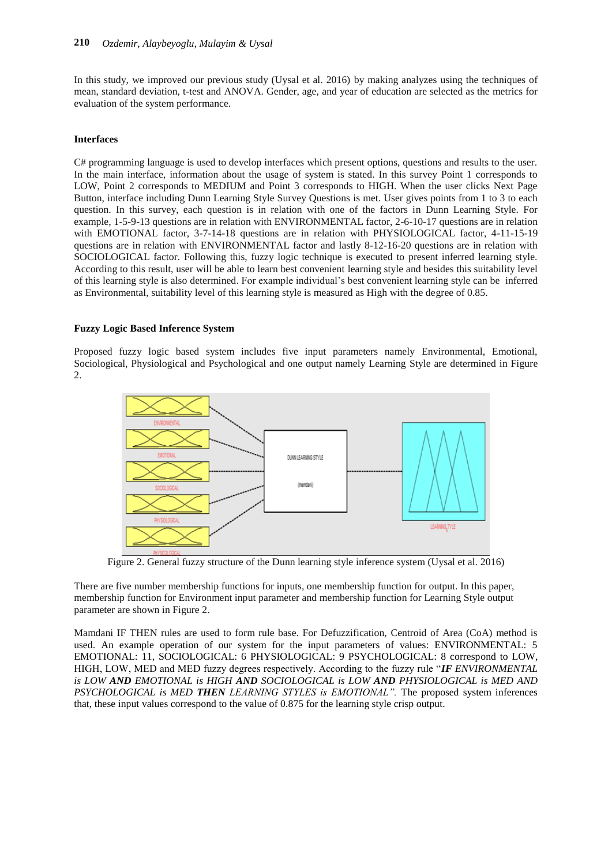In this study, we improved our previous study (Uysal et al. 2016) by making analyzes using the techniques of mean, standard deviation, t-test and ANOVA. Gender, age, and year of education are selected as the metrics for evaluation of the system performance.

#### **Interfaces**

C# programming language is used to develop interfaces which present options, questions and results to the user. In the main interface, information about the usage of system is stated. In this survey Point 1 corresponds to LOW, Point 2 corresponds to MEDIUM and Point 3 corresponds to HIGH. When the user clicks Next Page Button, interface including Dunn Learning Style Survey Questions is met. User gives points from 1 to 3 to each question. In this survey, each question is in relation with one of the factors in Dunn Learning Style. For example, 1-5-9-13 questions are in relation with ENVIRONMENTAL factor, 2-6-10-17 questions are in relation with EMOTIONAL factor, 3-7-14-18 questions are in relation with PHYSIOLOGICAL factor, 4-11-15-19 questions are in relation with ENVIRONMENTAL factor and lastly 8-12-16-20 questions are in relation with SOCIOLOGICAL factor. Following this, fuzzy logic technique is executed to present inferred learning style. According to this result, user will be able to learn best convenient learning style and besides this suitability level of this learning style is also determined. For example individual"s best convenient learning style can be inferred as Environmental, suitability level of this learning style is measured as High with the degree of 0.85.

#### **Fuzzy Logic Based Inference System**

Proposed fuzzy logic based system includes five input parameters namely Environmental, Emotional, Sociological, Physiological and Psychological and one output namely Learning Style are determined in Figure 2.



Figure 2. General fuzzy structure of the Dunn learning style inference system (Uysal et al. 2016)

There are five number membership functions for inputs, one membership function for output. In this paper, membership function for Environment input parameter and membership function for Learning Style output parameter are shown in Figure 2.

Mamdani IF THEN rules are used to form rule base. For Defuzzification, Centroid of Area (CoA) method is used. An example operation of our system for the input parameters of values: ENVIRONMENTAL: 5 EMOTIONAL: 11, SOCIOLOGICAL: 6 PHYSIOLOGICAL: 9 PSYCHOLOGICAL: 8 correspond to LOW, HIGH, LOW, MED and MED fuzzy degrees respectively. According to the fuzzy rule "*IF ENVIRONMENTAL is LOW AND EMOTIONAL is HIGH AND SOCIOLOGICAL is LOW AND PHYSIOLOGICAL is MED AND PSYCHOLOGICAL is MED THEN LEARNING STYLES is EMOTIONAL".* The proposed system inferences that, these input values correspond to the value of 0.875 for the learning style crisp output.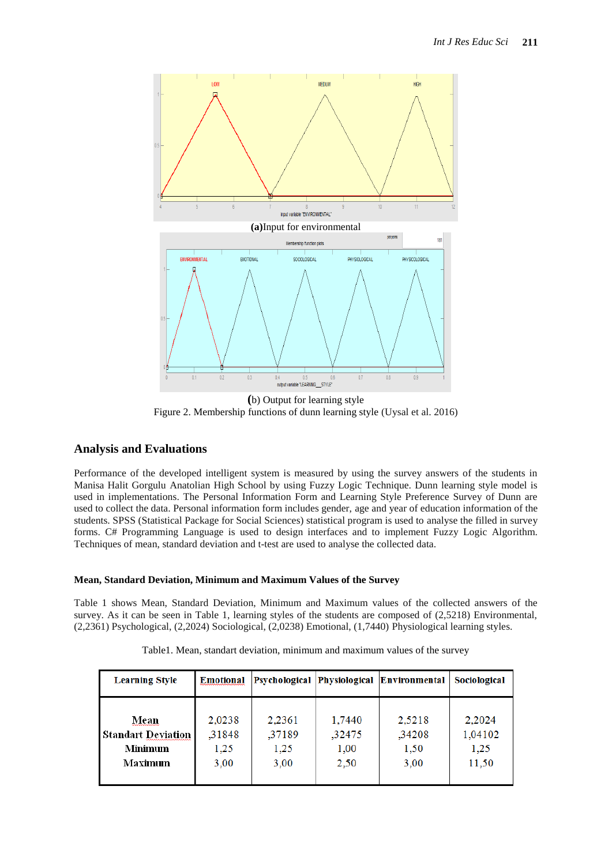

**(**b) Output for learning style Figure 2. Membership functions of dunn learning style (Uysal et al. 2016)

## **Analysis and Evaluations**

Performance of the developed intelligent system is measured by using the survey answers of the students in Manisa Halit Gorgulu Anatolian High School by using Fuzzy Logic Technique. Dunn learning style model is used in implementations. The Personal Information Form and Learning Style Preference Survey of Dunn are used to collect the data. Personal information form includes gender, age and year of education information of the students. SPSS (Statistical Package for Social Sciences) statistical program is used to analyse the filled in survey forms. C# Programming Language is used to design interfaces and to implement Fuzzy Logic Algorithm. Techniques of mean, standard deviation and t-test are used to analyse the collected data.

## **Mean, Standard Deviation, Minimum and Maximum Values of the Survey**

Table 1 shows Mean, Standard Deviation, Minimum and Maximum values of the collected answers of the survey. As it can be seen in Table 1, learning styles of the students are composed of (2,5218) Environmental, (2,2361) Psychological, (2,2024) Sociological, (2,0238) Emotional, (1,7440) Physiological learning styles.

| <b>Learning Style</b>     | <b>Emotional</b> |        |        | Psychological Physiological Environmental | Sociological |
|---------------------------|------------------|--------|--------|-------------------------------------------|--------------|
| Mean                      | 2,0238           | 2,2361 | 1,7440 | 2,5218                                    | 2,2024       |
| <b>Standart Deviation</b> | ,31848           | ,37189 | ,32475 | ,34208                                    | 1,04102      |
| Minimum                   | 1,25             | 1,25   | 1,00   | 1,50                                      | 1,25         |
| Maximum                   | 3,00             | 3,00   | 2,50   | 3,00                                      | 11,50        |

Table1. Mean, standart deviation, minimum and maximum values of the survey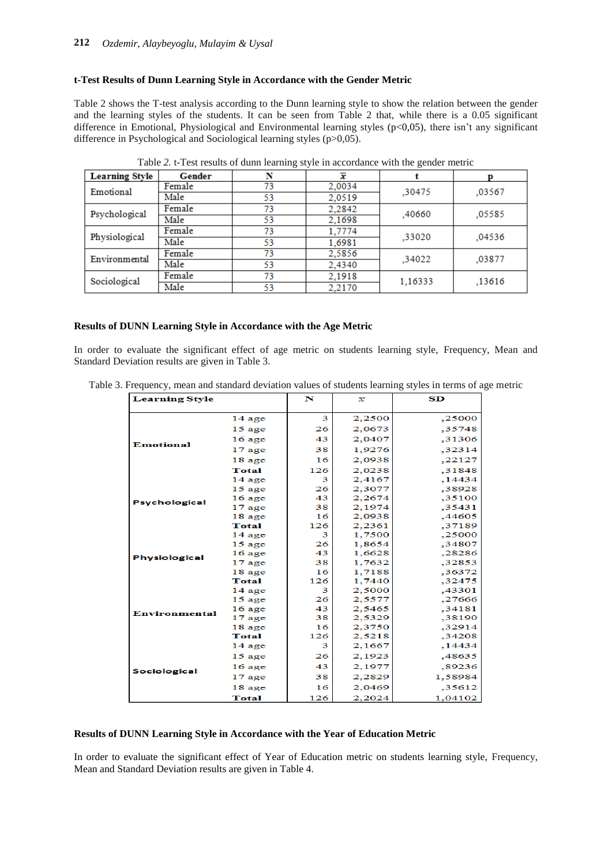#### **t-Test Results of Dunn Learning Style in Accordance with the Gender Metric**

Table 2 shows the T-test analysis according to the Dunn learning style to show the relation between the gender and the learning styles of the students. It can be seen from Table 2 that, while there is a 0.05 significant difference in Emotional, Physiological and Environmental learning styles (p<0,05), there isn't any significant difference in Psychological and Sociological learning styles (p>0,05).

| <b>Learning Style</b> |        |    |        |         |        |
|-----------------------|--------|----|--------|---------|--------|
|                       | Gender | N  | x      |         |        |
| Emotional             | Female | 73 | 2,0034 | .30475  | .03567 |
| Male                  |        | 53 | 2,0519 |         |        |
| Psychological         | Female | 73 | 2.2842 | ,40660  | .05585 |
| Male                  |        | 53 | 2,1698 |         |        |
| Physiological         | Female | 73 | 1,7774 | .33020  | .04536 |
| Male                  |        | 53 | 1,6981 |         |        |
| Environmental         | Female | 73 | 2,5856 | .34022  | ,03877 |
| Male                  |        | 53 | 2,4340 |         |        |
| Sociological          | Female | 73 | 2.1918 | 1,16333 | ,13616 |
| Male                  |        | 53 | 2,2170 |         |        |

Table *2.* t-Test results of dunn learning style in accordance with the gender metric

#### **Results of DUNN Learning Style in Accordance with the Age Metric**

In order to evaluate the significant effect of age metric on students learning style, Frequency, Mean and Standard Deviation results are given in Table 3.

| <b>Learning Style</b> |              | N   | x      | SD      |
|-----------------------|--------------|-----|--------|---------|
|                       | $14$ age     | 3   | 2,2500 | ,25000  |
|                       | $15$ age     | 26  | 2,0673 | ,35748  |
|                       | $16$ age     | 43  | 2,0407 | ,31306  |
| <b>Emotional</b>      | $17$ age     | 38  | 1,9276 | .32314  |
|                       | 18 age       | 16  | 2,0938 | ,22127  |
|                       | <b>Total</b> | 126 | 2,0238 | .31848  |
|                       | $14$ age     | 3   | 2,4167 | ,14434  |
|                       | $15$ age     | 26  | 2,3077 | .38928  |
|                       | $16$ age     | 43  | 2,2674 | ,35100  |
| <b>Psychological</b>  | $17$ age     | 38  | 2,1974 | .35431  |
|                       | 18 age       | 16  | 2,0938 | ,44605  |
|                       | <b>Total</b> | 126 | 2,2361 | .37189  |
|                       | $14$ age     | 3   | 1,7500 | ,25000  |
|                       | $15$ age     | 26  | 1,8654 | ,34807  |
| <b>Physiological</b>  | $16$ age     | 43  | 1,6628 | .28286  |
|                       | $17$ age     | 38  | 1,7632 | .32853  |
|                       | 18 age       | 16  | 1,7188 | ,36372  |
|                       | <b>Total</b> | 126 | 1,7440 | .32475  |
|                       | $14$ age     | 3   | 2,5000 | ,43301  |
|                       | $15$ age     | 26  | 2,5577 | .27666  |
| <b>Environmental</b>  | $16$ age     | 43  | 2,5465 | .34181  |
|                       | $17$ age     | 38  | 2,5329 | ,38190  |
|                       | 18 age       | 16  | 2,3750 | ,32914  |
| <b>Sociological</b>   | <b>Total</b> | 126 | 2,5218 | ,34208  |
|                       | $14$ age     | 3   | 2,1667 | ,14434  |
|                       | $15$ age     | 26  | 2,1923 | ,48635  |
|                       | $16$ age     | 43  | 2,1977 | .89236  |
|                       | $17$ age     | 38  | 2,2829 | 1,58984 |
|                       | 18 age       | 16  | 2,0469 | .35612  |
|                       | <b>Total</b> | 126 | 2,2024 | 1,04102 |

Table 3. Frequency, mean and standard deviation values of students learning styles in terms of age metric

#### **Results of DUNN Learning Style in Accordance with the Year of Education Metric**

In order to evaluate the significant effect of Year of Education metric on students learning style, Frequency, Mean and Standard Deviation results are given in Table 4.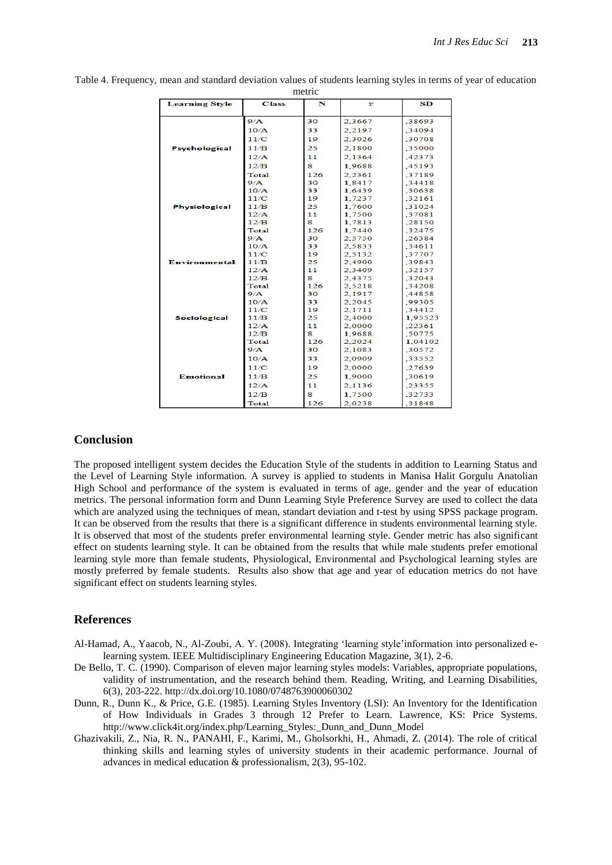| meure                 |              |     |        |         |
|-----------------------|--------------|-----|--------|---------|
| <b>Learning Style</b> | <b>Class</b> | N   | x      | SD      |
|                       |              |     |        |         |
| <b>Psychological</b>  | 9/A          | 30  | 2.3667 | .38693  |
|                       | 10/A         | 33  | 2.2197 | .34094  |
|                       | 11/C         | 19  | 2.3026 | .30708  |
|                       | 11/B         | 25  | 2,1800 | .35000  |
|                       | 12/A         | 11  | 2.1364 | .42373  |
|                       | 12/B         | R   | 1.9688 | .45193  |
|                       | Total        | 126 | 2,2361 | ,37189  |
|                       | 9/A          | 30  | 1,8417 | .34418  |
|                       | 10/A         | 33  | 1.6439 | .30638  |
|                       | 11/C         | 19  | 1.7237 | .32161  |
| <b>Physiological</b>  | 11/B         | 25  | 1,7600 | .31024  |
|                       | 12/A         | 11  | 1,7500 | .37081  |
|                       | 12/B         | R   | 1.7813 | .28150  |
|                       | Total        | 126 | 1.7440 | .32475  |
|                       | 9/A          | 30  | 2,5750 | .26384  |
|                       | 10/A         | 33  | 2.5833 | .34611  |
| <b>Environmental</b>  | 11/C         | 19  | 2.5132 | .37707  |
|                       | 11/B         | 25  | 2,4900 | .39843  |
|                       | 12/A         | 11  | 2.3409 | .32157  |
|                       | 12/B         | R   | 2.4375 | .32043  |
|                       | Total        | 126 | 2.5218 | .34208  |
|                       | 9/A          | 30  | 2,1917 | .44858  |
|                       | 10/A         | 33  | 2.2045 | ,99305  |
|                       | 11/C         | 19  | 2.1711 | .34412  |
| <b>Sociological</b>   | 11/B         | 25  | 2.4000 | 1.95523 |
|                       | 12/A         | 11  | 2,0000 | .22361  |
|                       | 12/B         | s.  | 1.9688 | .50775  |
|                       | Total        | 126 | 2.2024 | 1,04102 |
|                       | 9/A          | 30  | 2,1083 | .30572  |
|                       | 10/A         | 33  | 2.0909 | .33552  |
|                       | 11/C         | 19  | 2,0000 | .27639  |
| <b>Emotional</b>      | 11/B         | 25  | 1.9000 | .30619  |
|                       | 12/A         | 11  | 2,1136 | .23355  |
|                       | 12/B         | 8   | 1.7500 | .32733  |
|                       | <b>Total</b> | 126 | 2,0238 | .31848  |

Table 4. Frequency, mean and standard deviation values of students learning styles in terms of year of education metric

## **Conclusion**

The proposed intelligent system decides the Education Style of the students in addition to Learning Status and the Level of Learning Style information. A survey is applied to students in Manisa Halit Gorgulu Anatolian High School and performance of the system is evaluated in terms of age, gender and the year of education metrics. The personal information form and Dunn Learning Style Preference Survey are used to collect the data which are analyzed using the techniques of mean, standart deviation and t-test by using SPSS package program. It can be observed from the results that there is a significant difference in students environmental learning style. It is observed that most of the students prefer environmental learning style. Gender metric has also significant effect on students learning style. It can be obtained from the results that while male students prefer emotional learning style more than female students, Physiological, Environmental and Psychological learning styles are mostly preferred by female students. Results also show that age and year of education metrics do not have significant effect on students learning styles.

## **References**

- Al-Hamad, A., Yaacob, N., Al-Zoubi, A. Y. (2008). Integrating "learning style"information into personalized elearning system. IEEE Multidisciplinary Engineering Education Magazine, 3(1), 2-6.
- De Bello, T. C. (1990). Comparison of eleven major learning styles models: Variables, appropriate populations, validity of instrumentation, and the research behind them. Reading, Writing, and Learning Disabilities, 6(3), 203-222. http://dx.doi.org/10.1080/0748763900060302
- Dunn, R., Dunn K., & Price, G.E. (1985). Learning Styles Inventory (LSI): An Inventory for the Identification of How Individuals in Grades 3 through 12 Prefer to Learn. Lawrence, KS: Price Systems. http://www.click4it.org/index.php/Learning\_Styles:\_Dunn\_and\_Dunn\_Model
- Ghazivakili, Z., Nia, R. N., PANAHI, F., Karimi, M., Gholsorkhi, H., Ahmadi, Z. (2014). The role of critical thinking skills and learning styles of university students in their academic performance. Journal of advances in medical education & professionalism, 2(3), 95-102.